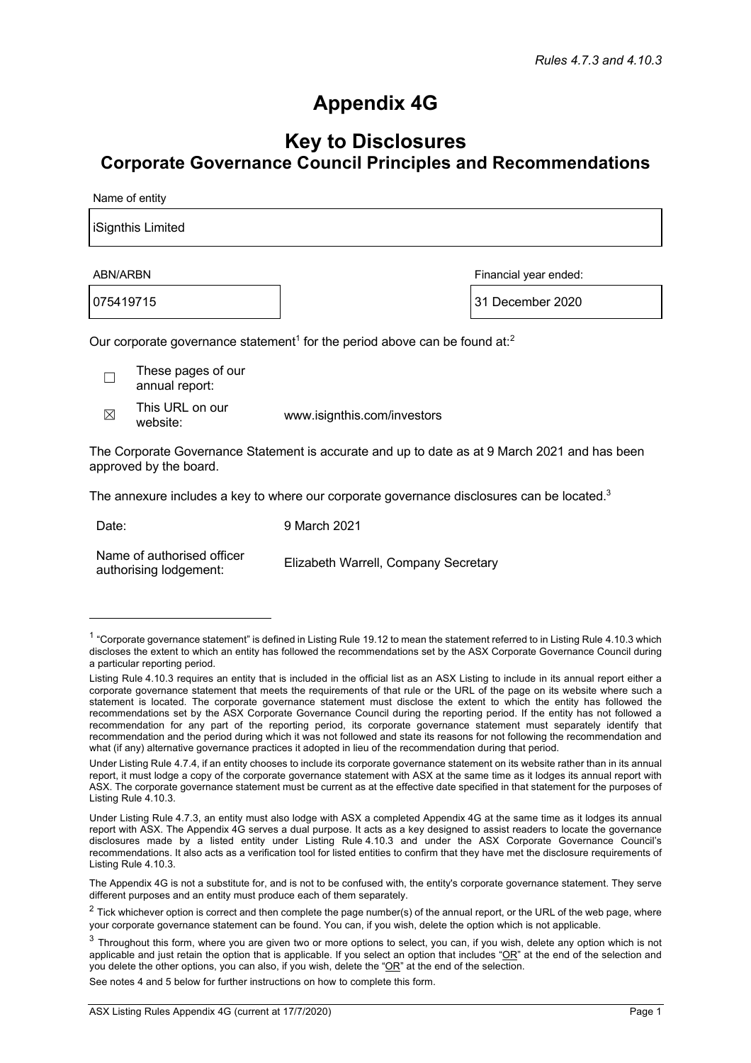## **Appendix 4G**

## **Key to Disclosures Corporate Governance Council Principles and Recommendations**

Name of entity

| iSignthis Limited                                                                                  |                       |  |  |
|----------------------------------------------------------------------------------------------------|-----------------------|--|--|
| ABN/ARBN                                                                                           | Financial year ended: |  |  |
| 075419715                                                                                          | 31 December 2020      |  |  |
| Our corporate governance statement <sup>1</sup> for the period above can be found at: <sup>2</sup> |                       |  |  |
| These pages of our<br>annual report:                                                               |                       |  |  |

 $\boxtimes$  This URL on our<br>website:

www.isignthis.com/investors

The Corporate Governance Statement is accurate and up to date as at 9 March 2021 and has been approved by the board.

The annexure includes a key to where our corporate governance disclosures can be located. $3$ 

Date: 9 March 2021

Name of authorised officer authorising lodgement: Elizabeth Warrell, Company Secretary

See notes 4 and 5 below for further instructions on how to complete this form.

 $1$  "Corporate governance statement" is defined in Listing Rule 19.12 to mean the statement referred to in Listing Rule 4.10.3 which discloses the extent to which an entity has followed the recommendations set by the ASX Corporate Governance Council during a particular reporting period.

Listing Rule 4.10.3 requires an entity that is included in the official list as an ASX Listing to include in its annual report either a corporate governance statement that meets the requirements of that rule or the URL of the page on its website where such a statement is located. The corporate governance statement must disclose the extent to which the entity has followed the recommendations set by the ASX Corporate Governance Council during the reporting period. If the entity has not followed a recommendation for any part of the reporting period, its corporate governance statement must separately identify that recommendation and the period during which it was not followed and state its reasons for not following the recommendation and what (if any) alternative governance practices it adopted in lieu of the recommendation during that period.

Under Listing Rule 4.7.4, if an entity chooses to include its corporate governance statement on its website rather than in its annual report, it must lodge a copy of the corporate governance statement with ASX at the same time as it lodges its annual report with ASX. The corporate governance statement must be current as at the effective date specified in that statement for the purposes of Listing Rule 4.10.3.

Under Listing Rule 4.7.3, an entity must also lodge with ASX a completed Appendix 4G at the same time as it lodges its annual report with ASX. The Appendix 4G serves a dual purpose. It acts as a key designed to assist readers to locate the governance disclosures made by a listed entity under Listing Rule 4.10.3 and under the ASX Corporate Governance Council's recommendations. It also acts as a verification tool for listed entities to confirm that they have met the disclosure requirements of Listing Rule 4.10.3.

The Appendix 4G is not a substitute for, and is not to be confused with, the entity's corporate governance statement. They serve different purposes and an entity must produce each of them separately.

 $2$  Tick whichever option is correct and then complete the page number(s) of the annual report, or the URL of the web page, where your corporate governance statement can be found. You can, if you wish, delete the option which is not applicable.

 $3$  Throughout this form, where you are given two or more options to select, you can, if you wish, delete any option which is not applicable and just retain the option that is applicable. If you select an option that includes " $OR$ " at the end of the selection and you delete the other options, you can also, if you wish, delete the "OR" at the end of the selection.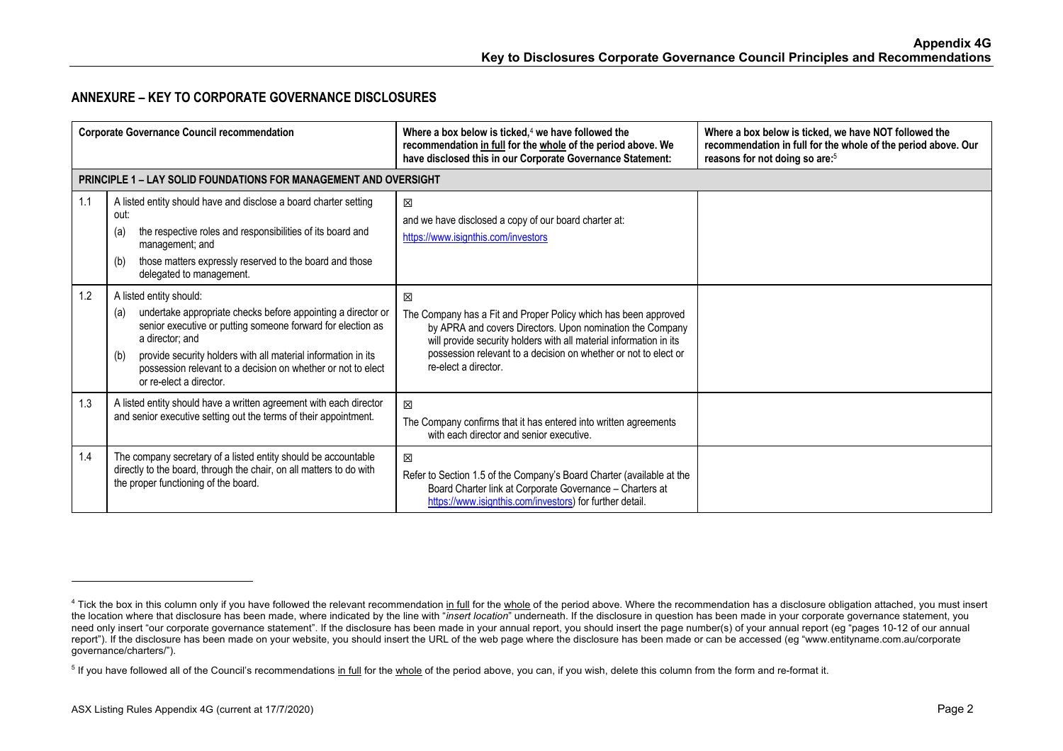## **ANNEXURE – KEY TO CORPORATE GOVERNANCE DISCLOSURES**

| <b>Corporate Governance Council recommendation</b> |                                                                                                                                                                                                                                                                                                                                                     | Where a box below is ticked, <sup>4</sup> we have followed the<br>recommendation in full for the whole of the period above. We<br>have disclosed this in our Corporate Governance Statement:                                                                                                       | Where a box below is ticked, we have NOT followed the<br>recommendation in full for the whole of the period above. Our<br>reasons for not doing so are: <sup>5</sup> |
|----------------------------------------------------|-----------------------------------------------------------------------------------------------------------------------------------------------------------------------------------------------------------------------------------------------------------------------------------------------------------------------------------------------------|----------------------------------------------------------------------------------------------------------------------------------------------------------------------------------------------------------------------------------------------------------------------------------------------------|----------------------------------------------------------------------------------------------------------------------------------------------------------------------|
|                                                    | <b>PRINCIPLE 1 – LAY SOLID FOUNDATIONS FOR MANAGEMENT AND OVERSIGHT</b>                                                                                                                                                                                                                                                                             |                                                                                                                                                                                                                                                                                                    |                                                                                                                                                                      |
| 1.1                                                | A listed entity should have and disclose a board charter setting<br>out:<br>the respective roles and responsibilities of its board and<br>(a)<br>management; and<br>those matters expressly reserved to the board and those<br>(b)<br>delegated to management.                                                                                      | X<br>and we have disclosed a copy of our board charter at:<br>https://www.isignthis.com/investors                                                                                                                                                                                                  |                                                                                                                                                                      |
| 1.2                                                | A listed entity should:<br>undertake appropriate checks before appointing a director or<br>(a)<br>senior executive or putting someone forward for election as<br>a director: and<br>provide security holders with all material information in its<br>(b)<br>possession relevant to a decision on whether or not to elect<br>or re-elect a director. | 区<br>The Company has a Fit and Proper Policy which has been approved<br>by APRA and covers Directors. Upon nomination the Company<br>will provide security holders with all material information in its<br>possession relevant to a decision on whether or not to elect or<br>re-elect a director. |                                                                                                                                                                      |
| 1.3                                                | A listed entity should have a written agreement with each director<br>and senior executive setting out the terms of their appointment.                                                                                                                                                                                                              | 区<br>The Company confirms that it has entered into written agreements<br>with each director and senior executive.                                                                                                                                                                                  |                                                                                                                                                                      |
| 1.4                                                | The company secretary of a listed entity should be accountable<br>directly to the board, through the chair, on all matters to do with<br>the proper functioning of the board.                                                                                                                                                                       | 区<br>Refer to Section 1.5 of the Company's Board Charter (available at the<br>Board Charter link at Corporate Governance - Charters at<br>https://www.isignthis.com/investors) for further detail.                                                                                                 |                                                                                                                                                                      |

<sup>&</sup>lt;sup>4</sup> Tick the box in this column only if you have followed the relevant recommendation in full for the whole of the period above. Where the recommendation has a disclosure obligation attached, you must insert the location where that disclosure has been made, where indicated by the line with "*insert location*" underneath. If the disclosure in question has been made in your corporate governance statement, you need only insert "our corporate governance statement". If the disclosure has been made in your annual report, you should insert the page number(s) of your annual report (eg "pages 10-12 of our annual report"). If the disclosure has been made on your website, you should insert the URL of the web page where the disclosure has been made or can be accessed (eg "www.entityname.com.au/corporate governance/charters/").

<sup>&</sup>lt;sup>5</sup> If you have followed all of the Council's recommendations in full for the whole of the period above, you can, if you wish, delete this column from the form and re-format it.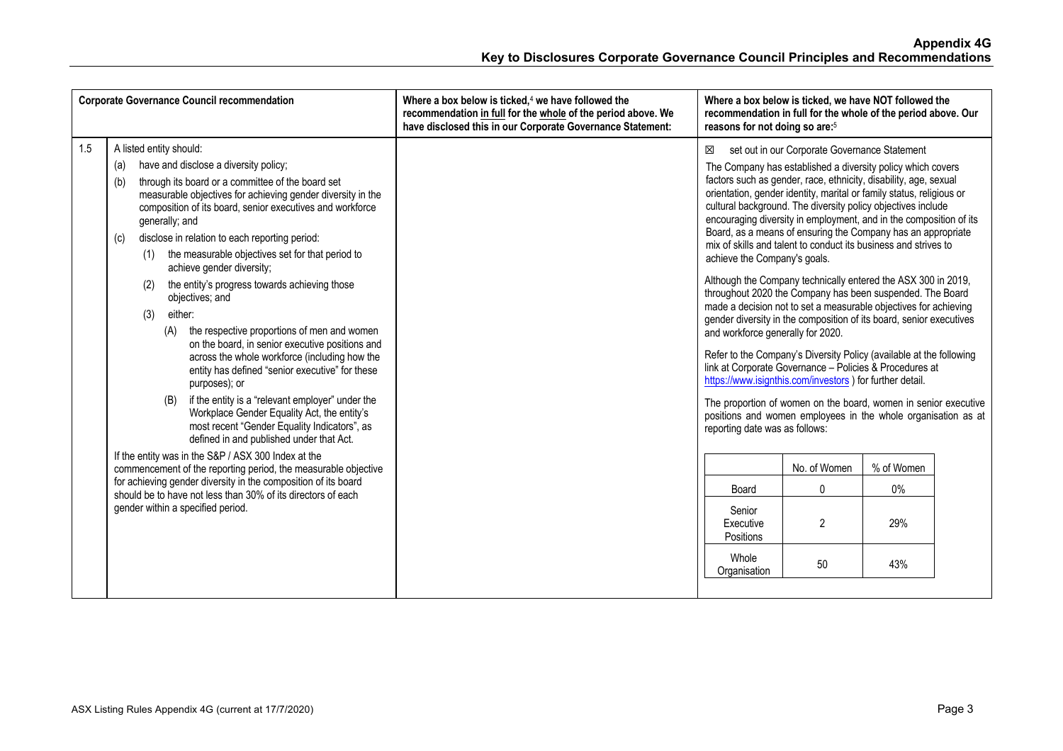| <b>Corporate Governance Council recommendation</b>                                                                                                                                                                                                                                                                                                                                                                                                                                                                                                                                                                                                                                                                                                                                                                                                                                                                                                                                                                                                                                                                                                                                                                                                                         | Where a box below is ticked, $4$ we have followed the<br>recommendation in full for the whole of the period above. We<br>have disclosed this in our Corporate Governance Statement: | Where a box below is ticked, we have NOT followed the<br>recommendation in full for the whole of the period above. Our<br>reasons for not doing so are: <sup>5</sup>                                                                                                                                                                                                                                                                                                                                                                                                                                                                                                                                                                                                                                                                                                                                                                                                                                                                                                                                                                                                                                                                                                                                                                                                                                                        |
|----------------------------------------------------------------------------------------------------------------------------------------------------------------------------------------------------------------------------------------------------------------------------------------------------------------------------------------------------------------------------------------------------------------------------------------------------------------------------------------------------------------------------------------------------------------------------------------------------------------------------------------------------------------------------------------------------------------------------------------------------------------------------------------------------------------------------------------------------------------------------------------------------------------------------------------------------------------------------------------------------------------------------------------------------------------------------------------------------------------------------------------------------------------------------------------------------------------------------------------------------------------------------|-------------------------------------------------------------------------------------------------------------------------------------------------------------------------------------|-----------------------------------------------------------------------------------------------------------------------------------------------------------------------------------------------------------------------------------------------------------------------------------------------------------------------------------------------------------------------------------------------------------------------------------------------------------------------------------------------------------------------------------------------------------------------------------------------------------------------------------------------------------------------------------------------------------------------------------------------------------------------------------------------------------------------------------------------------------------------------------------------------------------------------------------------------------------------------------------------------------------------------------------------------------------------------------------------------------------------------------------------------------------------------------------------------------------------------------------------------------------------------------------------------------------------------------------------------------------------------------------------------------------------------|
| 1.5<br>A listed entity should:<br>have and disclose a diversity policy;<br>(a)<br>through its board or a committee of the board set<br>(b)<br>measurable objectives for achieving gender diversity in the<br>composition of its board, senior executives and workforce<br>generally; and<br>disclose in relation to each reporting period:<br>(c)<br>the measurable objectives set for that period to<br>(1)<br>achieve gender diversity;<br>the entity's progress towards achieving those<br>(2)<br>objectives; and<br>either:<br>(3)<br>the respective proportions of men and women<br>(A)<br>on the board, in senior executive positions and<br>across the whole workforce (including how the<br>entity has defined "senior executive" for these<br>purposes); or<br>if the entity is a "relevant employer" under the<br>(B)<br>Workplace Gender Equality Act, the entity's<br>most recent "Gender Equality Indicators", as<br>defined in and published under that Act.<br>If the entity was in the S&P / ASX 300 Index at the<br>commencement of the reporting period, the measurable objective<br>for achieving gender diversity in the composition of its board<br>should be to have not less than 30% of its directors of each<br>gender within a specified period. |                                                                                                                                                                                     | set out in our Corporate Governance Statement<br>X<br>The Company has established a diversity policy which covers<br>factors such as gender, race, ethnicity, disability, age, sexual<br>orientation, gender identity, marital or family status, religious or<br>cultural background. The diversity policy objectives include<br>encouraging diversity in employment, and in the composition of its<br>Board, as a means of ensuring the Company has an appropriate<br>mix of skills and talent to conduct its business and strives to<br>achieve the Company's goals.<br>Although the Company technically entered the ASX 300 in 2019,<br>throughout 2020 the Company has been suspended. The Board<br>made a decision not to set a measurable objectives for achieving<br>gender diversity in the composition of its board, senior executives<br>and workforce generally for 2020.<br>Refer to the Company's Diversity Policy (available at the following<br>link at Corporate Governance - Policies & Procedures at<br>https://www.isignthis.com/investors ) for further detail.<br>The proportion of women on the board, women in senior executive<br>positions and women employees in the whole organisation as at<br>reporting date was as follows:<br>No. of Women<br>% of Women<br>$\mathbf 0$<br>$0\%$<br>Board<br>Senior<br>$\overline{2}$<br>29%<br>Executive<br>Positions<br>Whole<br>50<br>43%<br>Organisation |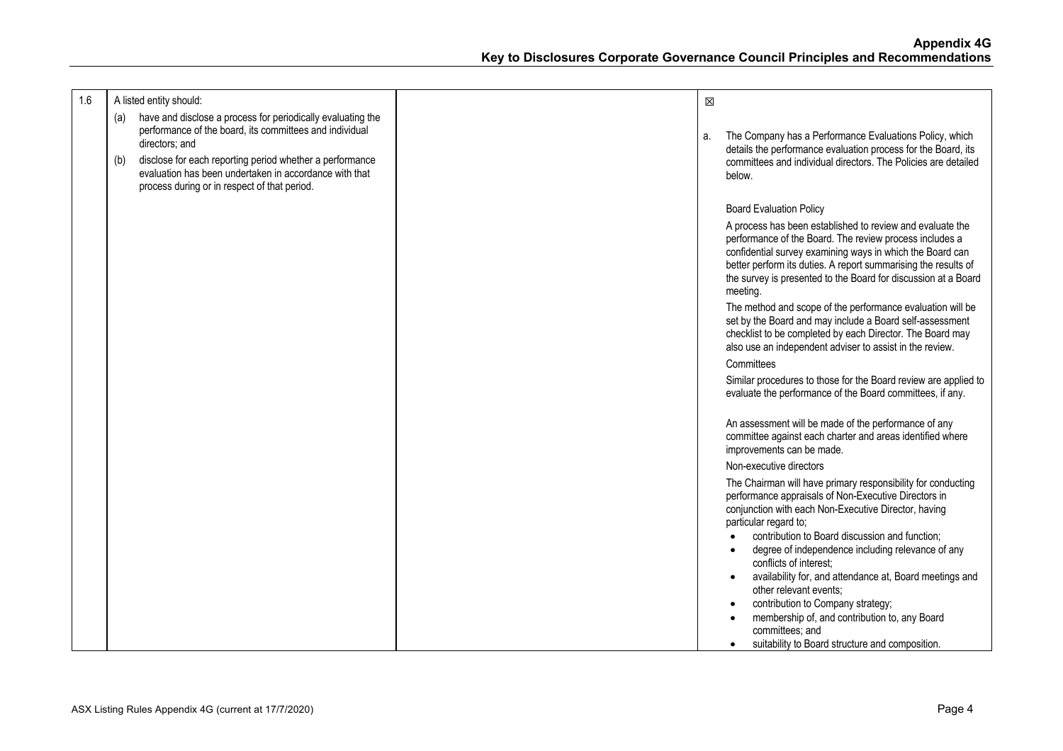| 1.6 | A listed entity should:                                                                                                                                                                                                                                                                                                      | X  |                                                                                                                                                                                                                                                                                                                                                                                                                             |
|-----|------------------------------------------------------------------------------------------------------------------------------------------------------------------------------------------------------------------------------------------------------------------------------------------------------------------------------|----|-----------------------------------------------------------------------------------------------------------------------------------------------------------------------------------------------------------------------------------------------------------------------------------------------------------------------------------------------------------------------------------------------------------------------------|
|     | have and disclose a process for periodically evaluating the<br>(a)<br>performance of the board, its committees and individual<br>directors; and<br>disclose for each reporting period whether a performance<br>(b)<br>evaluation has been undertaken in accordance with that<br>process during or in respect of that period. | a. | The Company has a Performance Evaluations Policy, which<br>details the performance evaluation process for the Board, its<br>committees and individual directors. The Policies are detailed<br>below.                                                                                                                                                                                                                        |
|     |                                                                                                                                                                                                                                                                                                                              |    | <b>Board Evaluation Policy</b>                                                                                                                                                                                                                                                                                                                                                                                              |
|     |                                                                                                                                                                                                                                                                                                                              |    | A process has been established to review and evaluate the<br>performance of the Board. The review process includes a<br>confidential survey examining ways in which the Board can<br>better perform its duties. A report summarising the results of<br>the survey is presented to the Board for discussion at a Board<br>meeting.                                                                                           |
|     |                                                                                                                                                                                                                                                                                                                              |    | The method and scope of the performance evaluation will be<br>set by the Board and may include a Board self-assessment<br>checklist to be completed by each Director. The Board may<br>also use an independent adviser to assist in the review.                                                                                                                                                                             |
|     |                                                                                                                                                                                                                                                                                                                              |    | Committees                                                                                                                                                                                                                                                                                                                                                                                                                  |
|     |                                                                                                                                                                                                                                                                                                                              |    | Similar procedures to those for the Board review are applied to<br>evaluate the performance of the Board committees, if any.                                                                                                                                                                                                                                                                                                |
|     |                                                                                                                                                                                                                                                                                                                              |    | An assessment will be made of the performance of any<br>committee against each charter and areas identified where<br>improvements can be made.                                                                                                                                                                                                                                                                              |
|     |                                                                                                                                                                                                                                                                                                                              |    | Non-executive directors                                                                                                                                                                                                                                                                                                                                                                                                     |
|     |                                                                                                                                                                                                                                                                                                                              |    | The Chairman will have primary responsibility for conducting<br>performance appraisals of Non-Executive Directors in<br>conjunction with each Non-Executive Director, having<br>particular regard to;<br>contribution to Board discussion and function;<br>degree of independence including relevance of any<br>conflicts of interest:<br>availability for, and attendance at, Board meetings and<br>other relevant events; |
|     |                                                                                                                                                                                                                                                                                                                              |    | contribution to Company strategy;<br>membership of, and contribution to, any Board<br>committees; and<br>suitability to Board structure and composition.                                                                                                                                                                                                                                                                    |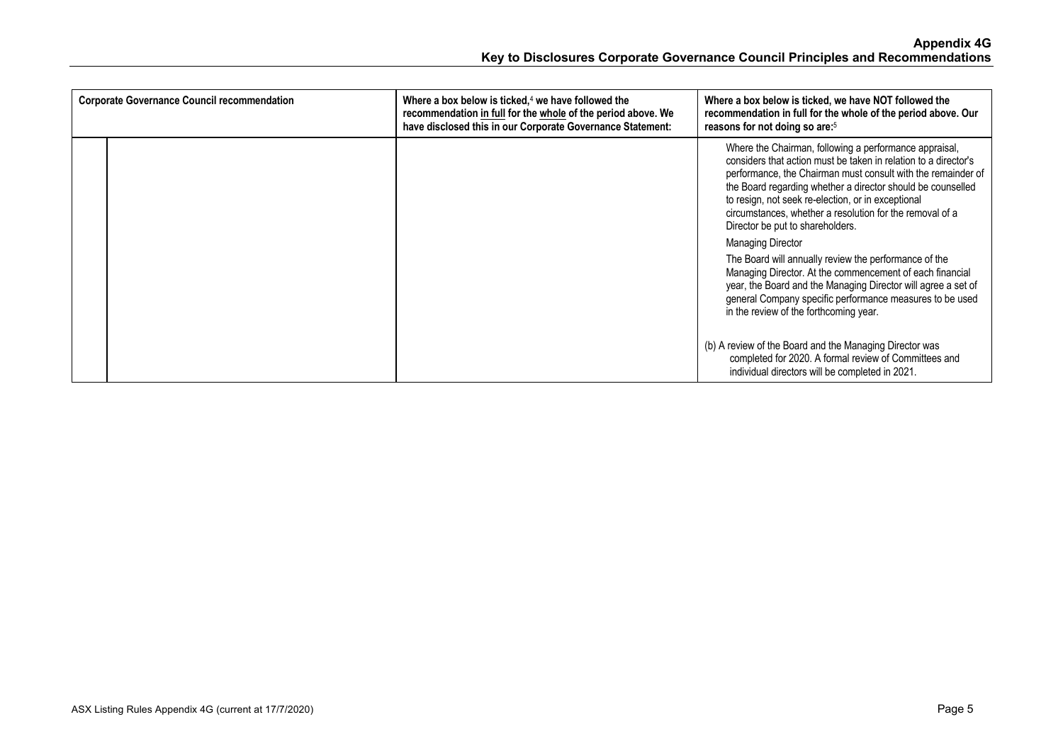| <b>Corporate Governance Council recommendation</b> | Where a box below is ticked, $4$ we have followed the<br>recommendation in full for the whole of the period above. We<br>have disclosed this in our Corporate Governance Statement: | Where a box below is ticked, we have NOT followed the<br>recommendation in full for the whole of the period above. Our<br>reasons for not doing so are: <sup>5</sup>                                                                                                                                                                                                                                                                       |
|----------------------------------------------------|-------------------------------------------------------------------------------------------------------------------------------------------------------------------------------------|--------------------------------------------------------------------------------------------------------------------------------------------------------------------------------------------------------------------------------------------------------------------------------------------------------------------------------------------------------------------------------------------------------------------------------------------|
|                                                    |                                                                                                                                                                                     | Where the Chairman, following a performance appraisal,<br>considers that action must be taken in relation to a director's<br>performance, the Chairman must consult with the remainder of<br>the Board regarding whether a director should be counselled<br>to resign, not seek re-election, or in exceptional<br>circumstances, whether a resolution for the removal of a<br>Director be put to shareholders.<br><b>Managing Director</b> |
|                                                    |                                                                                                                                                                                     | The Board will annually review the performance of the<br>Managing Director. At the commencement of each financial<br>year, the Board and the Managing Director will agree a set of<br>general Company specific performance measures to be used<br>in the review of the forthcoming year.                                                                                                                                                   |
|                                                    |                                                                                                                                                                                     | (b) A review of the Board and the Managing Director was<br>completed for 2020. A formal review of Committees and<br>individual directors will be completed in 2021.                                                                                                                                                                                                                                                                        |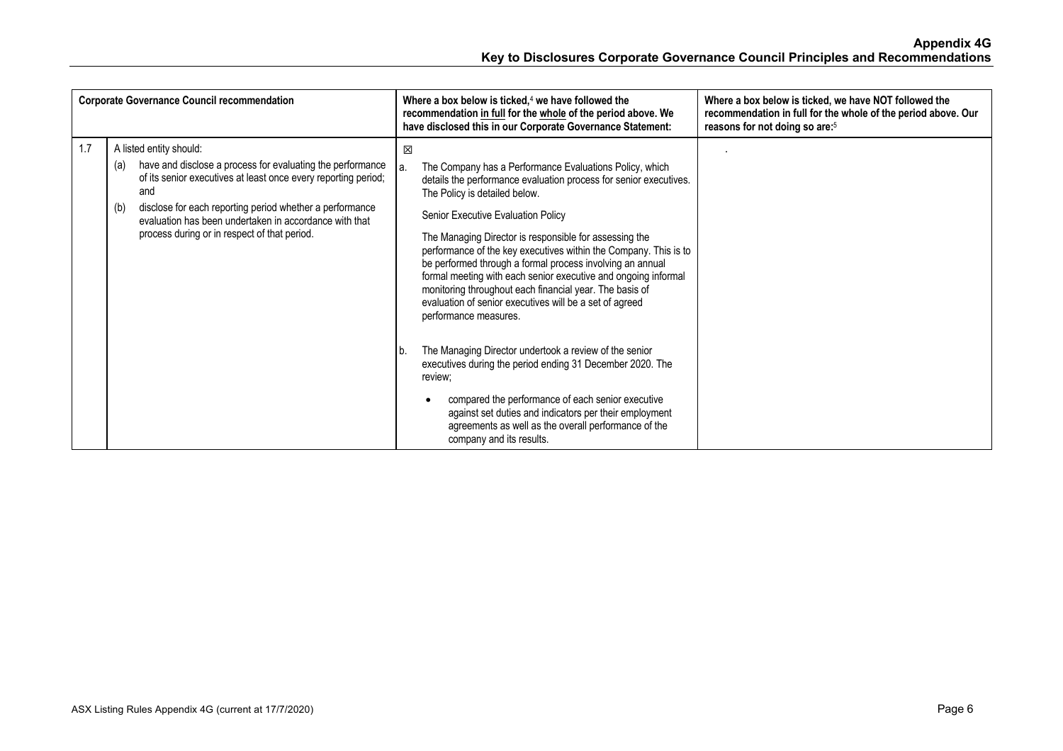|     | <b>Corporate Governance Council recommendation</b>                                                                                                                                                                                                                                                                                                 | Where a box below is ticked, <sup>4</sup> we have followed the<br>recommendation in full for the whole of the period above. We<br>have disclosed this in our Corporate Governance Statement:                                                                                                                                                                                                                                                                                                                                                                                                                               | Where a box below is ticked, we have NOT followed the<br>recommendation in full for the whole of the period above. Our<br>reasons for not doing so are: <sup>5</sup> |
|-----|----------------------------------------------------------------------------------------------------------------------------------------------------------------------------------------------------------------------------------------------------------------------------------------------------------------------------------------------------|----------------------------------------------------------------------------------------------------------------------------------------------------------------------------------------------------------------------------------------------------------------------------------------------------------------------------------------------------------------------------------------------------------------------------------------------------------------------------------------------------------------------------------------------------------------------------------------------------------------------------|----------------------------------------------------------------------------------------------------------------------------------------------------------------------|
| 1.7 | A listed entity should:<br>have and disclose a process for evaluating the performance<br>(a)<br>of its senior executives at least once every reporting period;<br>and<br>disclose for each reporting period whether a performance<br>(b)<br>evaluation has been undertaken in accordance with that<br>process during or in respect of that period. | 区<br>The Company has a Performance Evaluations Policy, which<br>a.<br>details the performance evaluation process for senior executives.<br>The Policy is detailed below.<br>Senior Executive Evaluation Policy<br>The Managing Director is responsible for assessing the<br>performance of the key executives within the Company. This is to<br>be performed through a formal process involving an annual<br>formal meeting with each senior executive and ongoing informal<br>monitoring throughout each financial year. The basis of<br>evaluation of senior executives will be a set of agreed<br>performance measures. |                                                                                                                                                                      |
|     |                                                                                                                                                                                                                                                                                                                                                    | The Managing Director undertook a review of the senior<br>executives during the period ending 31 December 2020. The<br>review:<br>compared the performance of each senior executive<br>against set duties and indicators per their employment<br>agreements as well as the overall performance of the<br>company and its results.                                                                                                                                                                                                                                                                                          |                                                                                                                                                                      |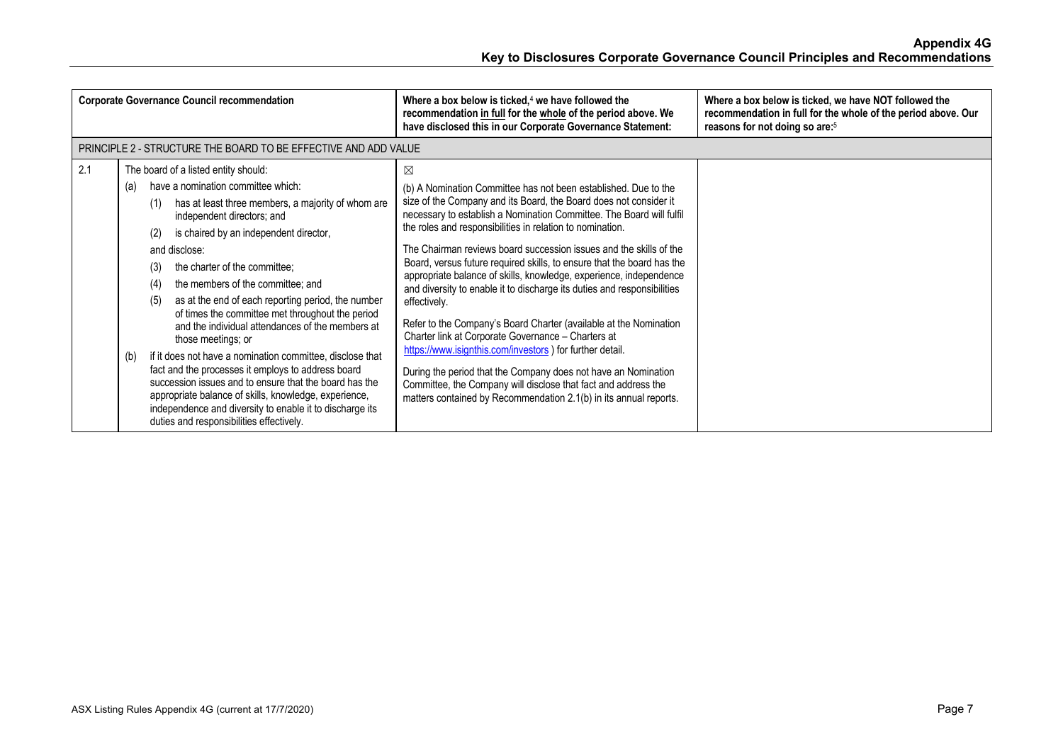| <b>Corporate Governance Council recommendation</b> |                                                                                                                                                                                                                                                                                                                                                                                                                                                                                                                                                                                                                                                                                                                                                                                                                                                                                    | Where a box below is ticked, $4$ we have followed the<br>recommendation in full for the whole of the period above. We<br>have disclosed this in our Corporate Governance Statement:                                                                                                                                                                                                                                                                                                                                                                                                                                                                                                                                                                                                                                                                                                                                                                                                              | Where a box below is ticked, we have NOT followed the<br>recommendation in full for the whole of the period above. Our<br>reasons for not doing so are: <sup>5</sup> |
|----------------------------------------------------|------------------------------------------------------------------------------------------------------------------------------------------------------------------------------------------------------------------------------------------------------------------------------------------------------------------------------------------------------------------------------------------------------------------------------------------------------------------------------------------------------------------------------------------------------------------------------------------------------------------------------------------------------------------------------------------------------------------------------------------------------------------------------------------------------------------------------------------------------------------------------------|--------------------------------------------------------------------------------------------------------------------------------------------------------------------------------------------------------------------------------------------------------------------------------------------------------------------------------------------------------------------------------------------------------------------------------------------------------------------------------------------------------------------------------------------------------------------------------------------------------------------------------------------------------------------------------------------------------------------------------------------------------------------------------------------------------------------------------------------------------------------------------------------------------------------------------------------------------------------------------------------------|----------------------------------------------------------------------------------------------------------------------------------------------------------------------|
|                                                    | PRINCIPLE 2 - STRUCTURE THE BOARD TO BE EFFECTIVE AND ADD VALUE                                                                                                                                                                                                                                                                                                                                                                                                                                                                                                                                                                                                                                                                                                                                                                                                                    |                                                                                                                                                                                                                                                                                                                                                                                                                                                                                                                                                                                                                                                                                                                                                                                                                                                                                                                                                                                                  |                                                                                                                                                                      |
| 2.1                                                | The board of a listed entity should:<br>have a nomination committee which:<br>(a)<br>has at least three members, a majority of whom are<br>(1)<br>independent directors; and<br>is chaired by an independent director,<br>(2)<br>and disclose:<br>the charter of the committee;<br>(3)<br>the members of the committee; and<br>(4)<br>as at the end of each reporting period, the number<br>(5)<br>of times the committee met throughout the period<br>and the individual attendances of the members at<br>those meetings; or<br>if it does not have a nomination committee, disclose that<br>(b)<br>fact and the processes it employs to address board<br>succession issues and to ensure that the board has the<br>appropriate balance of skills, knowledge, experience,<br>independence and diversity to enable it to discharge its<br>duties and responsibilities effectively. | ⊠<br>(b) A Nomination Committee has not been established. Due to the<br>size of the Company and its Board, the Board does not consider it<br>necessary to establish a Nomination Committee. The Board will fulfil<br>the roles and responsibilities in relation to nomination.<br>The Chairman reviews board succession issues and the skills of the<br>Board, versus future required skills, to ensure that the board has the<br>appropriate balance of skills, knowledge, experience, independence<br>and diversity to enable it to discharge its duties and responsibilities<br>effectively.<br>Refer to the Company's Board Charter (available at the Nomination<br>Charter link at Corporate Governance - Charters at<br>https://www.isignthis.com/investors ) for further detail.<br>During the period that the Company does not have an Nomination<br>Committee, the Company will disclose that fact and address the<br>matters contained by Recommendation 2.1(b) in its annual reports. |                                                                                                                                                                      |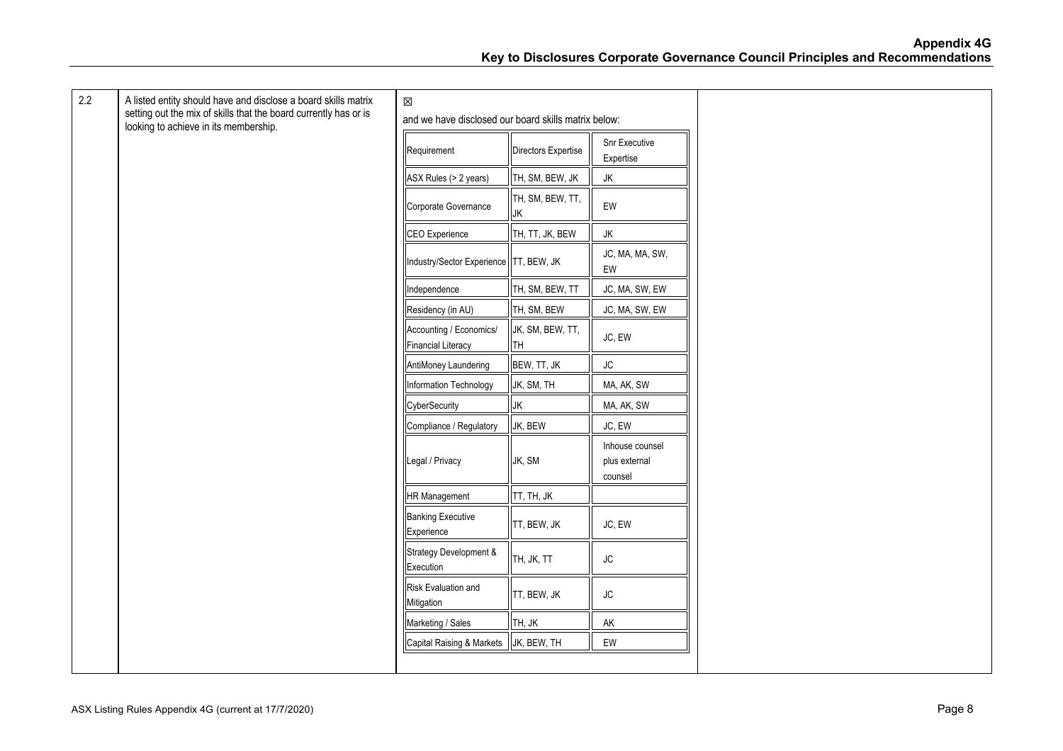| 2.2 | A listed entity should have and disclose a board skills matrix<br>setting out the mix of skills that the board currently has or is<br>looking to achieve in its membership. | $\boxtimes$<br>and we have disclosed our board skills matrix below: |                        |                                             |
|-----|-----------------------------------------------------------------------------------------------------------------------------------------------------------------------------|---------------------------------------------------------------------|------------------------|---------------------------------------------|
|     |                                                                                                                                                                             | Requirement                                                         | Directors Expertise    | Snr Executive<br>Expertise                  |
|     |                                                                                                                                                                             | ASX Rules (> 2 years)                                               | TH, SM, BEW, JK        | JK                                          |
|     |                                                                                                                                                                             | Corporate Governance                                                | TH, SM, BEW, TT,<br>JK | EW                                          |
|     |                                                                                                                                                                             | CEO Experience                                                      | TH, TT, JK, BEW        | JK                                          |
|     |                                                                                                                                                                             | Industry/Sector Experience TT, BEW, JK                              |                        | JC, MA, MA, SW,<br>EW                       |
|     |                                                                                                                                                                             | Independence                                                        | TH, SM, BEW, TT        | JC, MA, SW, EW                              |
|     |                                                                                                                                                                             | Residency (in AU)                                                   | TH, SM, BEW            | JC, MA, SW, EW                              |
|     |                                                                                                                                                                             | Accounting / Economics/<br><b>Financial Literacy</b>                | JK, SM, BEW, TT,<br>TH | JC, EW                                      |
|     |                                                                                                                                                                             | AntiMoney Laundering                                                | BEW, TT, JK            | $\mathsf{J}\mathsf{C}$                      |
|     |                                                                                                                                                                             | Information Technology                                              | JK, SM, TH             | MA, AK, SW                                  |
|     |                                                                                                                                                                             | CyberSecurity                                                       | JK                     | MA, AK, SW                                  |
|     |                                                                                                                                                                             | Compliance / Regulatory                                             | JK, BEW                | JC, EW                                      |
|     |                                                                                                                                                                             | Legal / Privacy                                                     | JK, SM                 | Inhouse counsel<br>plus external<br>counsel |
|     |                                                                                                                                                                             | <b>HR Management</b>                                                | TT, TH, JK             |                                             |
|     |                                                                                                                                                                             | <b>Banking Executive</b><br>Experience                              | TT, BEW, JK            | JC, EW                                      |
|     |                                                                                                                                                                             | Strategy Development &<br>Execution                                 | TH, JK, TT             | $\mathsf{J}\mathsf{C}$                      |
|     |                                                                                                                                                                             | Risk Evaluation and<br>Mitigation                                   | TT, BEW, JK            | ${\sf JC}$                                  |
|     |                                                                                                                                                                             | Marketing / Sales                                                   | TH, JK                 | AK                                          |
|     |                                                                                                                                                                             | Capital Raising & Markets                                           | JK, BEW, TH            | EW                                          |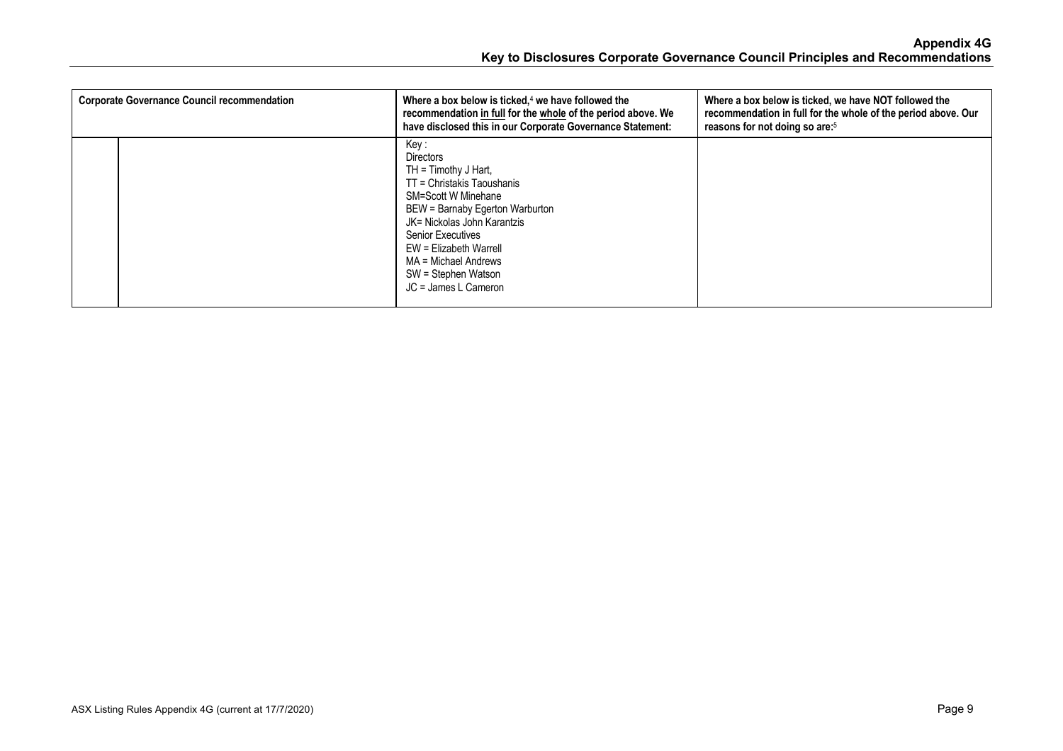| <b>Corporate Governance Council recommendation</b> | Where a box below is ticked, $4$ we have followed the<br>recommendation in full for the whole of the period above. We<br>have disclosed this in our Corporate Governance Statement:                                                                                                                             | Where a box below is ticked, we have NOT followed the<br>recommendation in full for the whole of the period above. Our<br>reasons for not doing so are: <sup>5</sup> |
|----------------------------------------------------|-----------------------------------------------------------------------------------------------------------------------------------------------------------------------------------------------------------------------------------------------------------------------------------------------------------------|----------------------------------------------------------------------------------------------------------------------------------------------------------------------|
|                                                    | Key :<br><b>Directors</b><br>$TH = Timothy J Hart$ ,<br>TT = Christakis Taoushanis<br><b>SM=Scott W Minehane</b><br>BEW = Barnaby Egerton Warburton<br>JK= Nickolas John Karantzis<br><b>Senior Executives</b><br>EW = Elizabeth Warrell<br>MA = Michael Andrews<br>SW = Stephen Watson<br>JC = James L Cameron |                                                                                                                                                                      |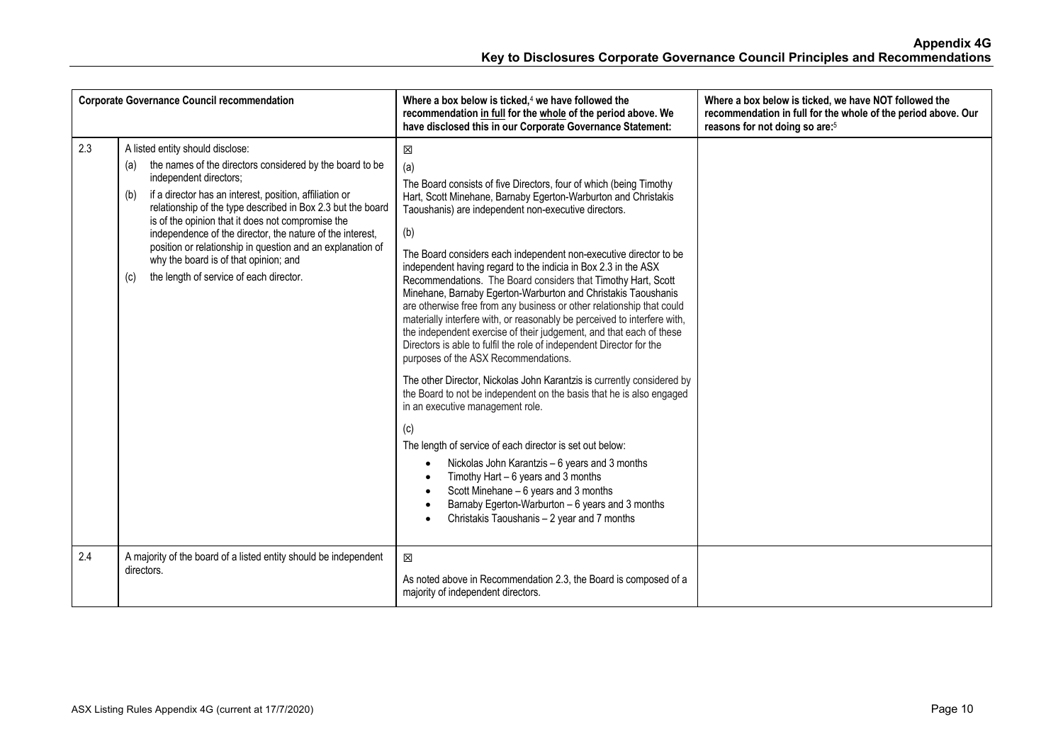|     | <b>Corporate Governance Council recommendation</b>                                                                                                                                                                                                                                                                                                                                                                                                                                                                                        | Where a box below is ticked, $4$ we have followed the<br>recommendation in full for the whole of the period above. We<br>have disclosed this in our Corporate Governance Statement:                                                                                                                                                                                                                                                                                                                                                                                                                                                                                                                                                                                                                                                                                                                                                                                                                                                                                                                                                                                                                                                                                                                                                 | Where a box below is ticked, we have NOT followed the<br>recommendation in full for the whole of the period above. Our<br>reasons for not doing so are: <sup>5</sup> |
|-----|-------------------------------------------------------------------------------------------------------------------------------------------------------------------------------------------------------------------------------------------------------------------------------------------------------------------------------------------------------------------------------------------------------------------------------------------------------------------------------------------------------------------------------------------|-------------------------------------------------------------------------------------------------------------------------------------------------------------------------------------------------------------------------------------------------------------------------------------------------------------------------------------------------------------------------------------------------------------------------------------------------------------------------------------------------------------------------------------------------------------------------------------------------------------------------------------------------------------------------------------------------------------------------------------------------------------------------------------------------------------------------------------------------------------------------------------------------------------------------------------------------------------------------------------------------------------------------------------------------------------------------------------------------------------------------------------------------------------------------------------------------------------------------------------------------------------------------------------------------------------------------------------|----------------------------------------------------------------------------------------------------------------------------------------------------------------------|
| 2.3 | A listed entity should disclose:<br>the names of the directors considered by the board to be<br>(a)<br>independent directors;<br>if a director has an interest, position, affiliation or<br>(b)<br>relationship of the type described in Box 2.3 but the board<br>is of the opinion that it does not compromise the<br>independence of the director, the nature of the interest,<br>position or relationship in question and an explanation of<br>why the board is of that opinion; and<br>the length of service of each director.<br>(c) | X<br>(a)<br>The Board consists of five Directors, four of which (being Timothy<br>Hart, Scott Minehane, Barnaby Egerton-Warburton and Christakis<br>Taoushanis) are independent non-executive directors.<br>(b)<br>The Board considers each independent non-executive director to be<br>independent having regard to the indicia in Box 2.3 in the ASX<br>Recommendations. The Board considers that Timothy Hart, Scott<br>Minehane, Barnaby Egerton-Warburton and Christakis Taoushanis<br>are otherwise free from any business or other relationship that could<br>materially interfere with, or reasonably be perceived to interfere with,<br>the independent exercise of their judgement, and that each of these<br>Directors is able to fulfil the role of independent Director for the<br>purposes of the ASX Recommendations.<br>The other Director, Nickolas John Karantzis is currently considered by<br>the Board to not be independent on the basis that he is also engaged<br>in an executive management role.<br>(c)<br>The length of service of each director is set out below:<br>Nickolas John Karantzis - 6 years and 3 months<br>Timothy Hart $-6$ years and 3 months<br>Scott Minehane - 6 years and 3 months<br>Barnaby Egerton-Warburton - 6 years and 3 months<br>Christakis Taoushanis - 2 year and 7 months |                                                                                                                                                                      |
| 2.4 | A majority of the board of a listed entity should be independent<br>directors.                                                                                                                                                                                                                                                                                                                                                                                                                                                            | 区<br>As noted above in Recommendation 2.3, the Board is composed of a<br>majority of independent directors.                                                                                                                                                                                                                                                                                                                                                                                                                                                                                                                                                                                                                                                                                                                                                                                                                                                                                                                                                                                                                                                                                                                                                                                                                         |                                                                                                                                                                      |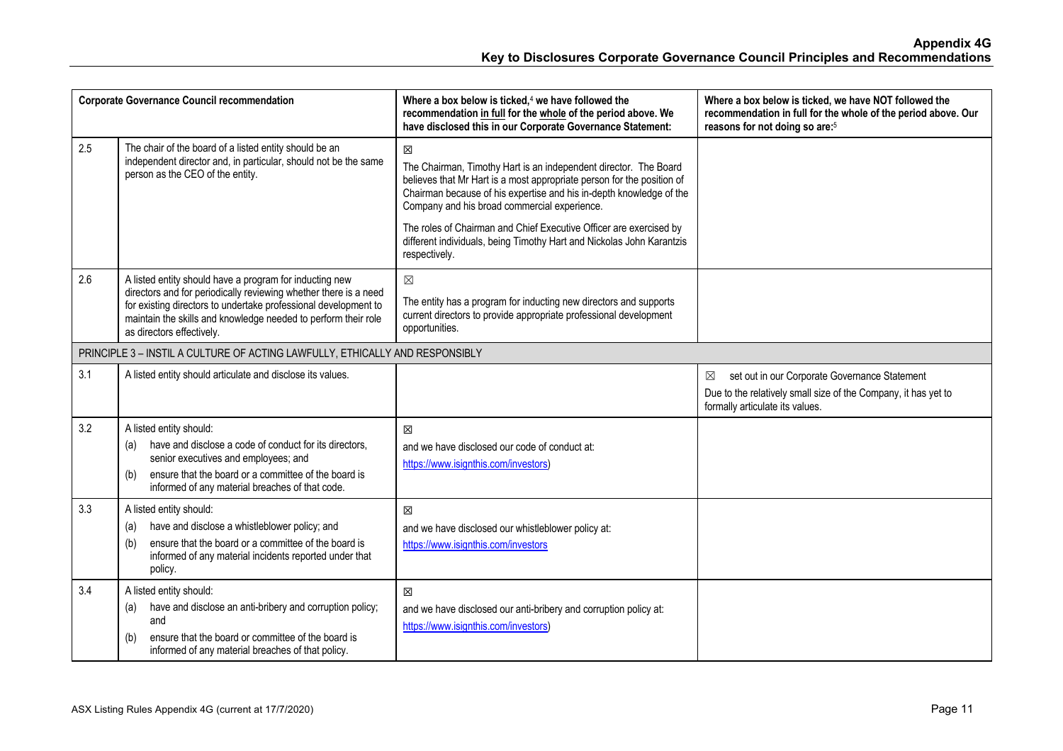|     | <b>Corporate Governance Council recommendation</b>                                                                                                                                                                                                                                            | Where a box below is ticked, <sup>4</sup> we have followed the<br>recommendation in full for the whole of the period above. We<br>have disclosed this in our Corporate Governance Statement:                                                                           | Where a box below is ticked, we have NOT followed the<br>recommendation in full for the whole of the period above. Our<br>reasons for not doing so are: <sup>5</sup> |
|-----|-----------------------------------------------------------------------------------------------------------------------------------------------------------------------------------------------------------------------------------------------------------------------------------------------|------------------------------------------------------------------------------------------------------------------------------------------------------------------------------------------------------------------------------------------------------------------------|----------------------------------------------------------------------------------------------------------------------------------------------------------------------|
| 2.5 | The chair of the board of a listed entity should be an<br>independent director and, in particular, should not be the same<br>person as the CEO of the entity.                                                                                                                                 | X<br>The Chairman, Timothy Hart is an independent director. The Board<br>believes that Mr Hart is a most appropriate person for the position of<br>Chairman because of his expertise and his in-depth knowledge of the<br>Company and his broad commercial experience. |                                                                                                                                                                      |
|     |                                                                                                                                                                                                                                                                                               | The roles of Chairman and Chief Executive Officer are exercised by<br>different individuals, being Timothy Hart and Nickolas John Karantzis<br>respectively.                                                                                                           |                                                                                                                                                                      |
| 2.6 | A listed entity should have a program for inducting new<br>directors and for periodically reviewing whether there is a need<br>for existing directors to undertake professional development to<br>maintain the skills and knowledge needed to perform their role<br>as directors effectively. | $\boxtimes$<br>The entity has a program for inducting new directors and supports<br>current directors to provide appropriate professional development<br>opportunities.                                                                                                |                                                                                                                                                                      |
|     | PRINCIPLE 3 - INSTIL A CULTURE OF ACTING LAWFULLY, ETHICALLY AND RESPONSIBLY                                                                                                                                                                                                                  |                                                                                                                                                                                                                                                                        |                                                                                                                                                                      |
| 3.1 | A listed entity should articulate and disclose its values.                                                                                                                                                                                                                                    |                                                                                                                                                                                                                                                                        | set out in our Corporate Governance Statement<br>$\boxtimes$<br>Due to the relatively small size of the Company, it has yet to<br>formally articulate its values.    |
| 3.2 | A listed entity should:<br>have and disclose a code of conduct for its directors,<br>(a)<br>senior executives and employees; and<br>ensure that the board or a committee of the board is<br>(b)<br>informed of any material breaches of that code.                                            | X<br>and we have disclosed our code of conduct at:<br>https://www.isignthis.com/investors)                                                                                                                                                                             |                                                                                                                                                                      |
| 3.3 | A listed entity should:<br>have and disclose a whistleblower policy; and<br>(a)<br>ensure that the board or a committee of the board is<br>(b)<br>informed of any material incidents reported under that<br>policy.                                                                           | X<br>and we have disclosed our whistleblower policy at:<br>https://www.isignthis.com/investors                                                                                                                                                                         |                                                                                                                                                                      |
| 3.4 | A listed entity should:<br>have and disclose an anti-bribery and corruption policy;<br>(a)<br>and<br>ensure that the board or committee of the board is<br>(b)<br>informed of any material breaches of that policy.                                                                           | 区<br>and we have disclosed our anti-bribery and corruption policy at:<br>https://www.isignthis.com/investors)                                                                                                                                                          |                                                                                                                                                                      |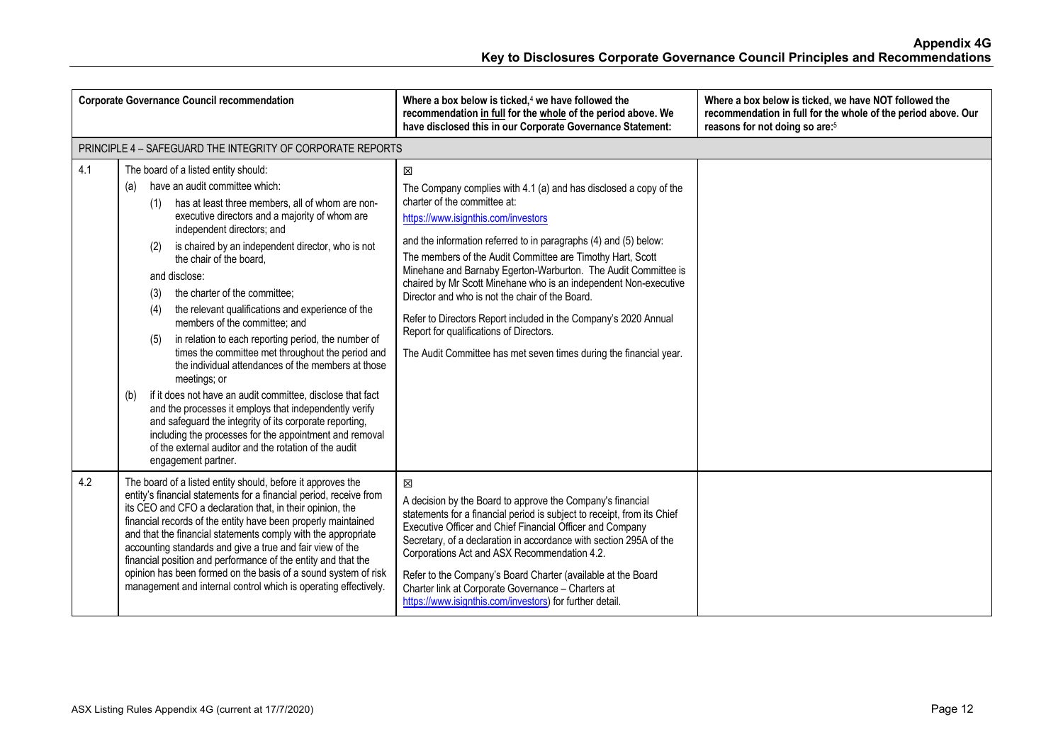|     | <b>Corporate Governance Council recommendation</b>                                                                                                                                                                                                                                                                                                                                                                                                                                                                                                                                                                                                                                                                                                                                                                                                                                                                                                                                                  | Where a box below is ticked, $4$ we have followed the<br>recommendation in full for the whole of the period above. We<br>have disclosed this in our Corporate Governance Statement:                                                                                                                                                                                                                                                                                                                                                                                                                                                                          | Where a box below is ticked, we have NOT followed the<br>recommendation in full for the whole of the period above. Our<br>reasons for not doing so are: <sup>5</sup> |
|-----|-----------------------------------------------------------------------------------------------------------------------------------------------------------------------------------------------------------------------------------------------------------------------------------------------------------------------------------------------------------------------------------------------------------------------------------------------------------------------------------------------------------------------------------------------------------------------------------------------------------------------------------------------------------------------------------------------------------------------------------------------------------------------------------------------------------------------------------------------------------------------------------------------------------------------------------------------------------------------------------------------------|--------------------------------------------------------------------------------------------------------------------------------------------------------------------------------------------------------------------------------------------------------------------------------------------------------------------------------------------------------------------------------------------------------------------------------------------------------------------------------------------------------------------------------------------------------------------------------------------------------------------------------------------------------------|----------------------------------------------------------------------------------------------------------------------------------------------------------------------|
|     | PRINCIPLE 4 - SAFEGUARD THE INTEGRITY OF CORPORATE REPORTS                                                                                                                                                                                                                                                                                                                                                                                                                                                                                                                                                                                                                                                                                                                                                                                                                                                                                                                                          |                                                                                                                                                                                                                                                                                                                                                                                                                                                                                                                                                                                                                                                              |                                                                                                                                                                      |
| 4.1 | The board of a listed entity should:<br>have an audit committee which:<br>(a)<br>has at least three members, all of whom are non-<br>(1)<br>executive directors and a majority of whom are<br>independent directors; and<br>is chaired by an independent director, who is not<br>(2)<br>the chair of the board.<br>and disclose:<br>the charter of the committee;<br>(3)<br>the relevant qualifications and experience of the<br>(4)<br>members of the committee; and<br>in relation to each reporting period, the number of<br>(5)<br>times the committee met throughout the period and<br>the individual attendances of the members at those<br>meetings; or<br>if it does not have an audit committee, disclose that fact<br>(b)<br>and the processes it employs that independently verify<br>and safeguard the integrity of its corporate reporting,<br>including the processes for the appointment and removal<br>of the external auditor and the rotation of the audit<br>engagement partner. | 区<br>The Company complies with 4.1 (a) and has disclosed a copy of the<br>charter of the committee at:<br>https://www.isignthis.com/investors<br>and the information referred to in paragraphs (4) and (5) below:<br>The members of the Audit Committee are Timothy Hart, Scott<br>Minehane and Barnaby Egerton-Warburton. The Audit Committee is<br>chaired by Mr Scott Minehane who is an independent Non-executive<br>Director and who is not the chair of the Board.<br>Refer to Directors Report included in the Company's 2020 Annual<br>Report for qualifications of Directors.<br>The Audit Committee has met seven times during the financial year. |                                                                                                                                                                      |
| 4.2 | The board of a listed entity should, before it approves the<br>entity's financial statements for a financial period, receive from<br>its CEO and CFO a declaration that, in their opinion, the<br>financial records of the entity have been properly maintained<br>and that the financial statements comply with the appropriate<br>accounting standards and give a true and fair view of the<br>financial position and performance of the entity and that the<br>opinion has been formed on the basis of a sound system of risk<br>management and internal control which is operating effectively.                                                                                                                                                                                                                                                                                                                                                                                                 | 冈<br>A decision by the Board to approve the Company's financial<br>statements for a financial period is subject to receipt, from its Chief<br>Executive Officer and Chief Financial Officer and Company<br>Secretary, of a declaration in accordance with section 295A of the<br>Corporations Act and ASX Recommendation 4.2.<br>Refer to the Company's Board Charter (available at the Board<br>Charter link at Corporate Governance - Charters at<br>https://www.isignthis.com/investors) for further detail.                                                                                                                                              |                                                                                                                                                                      |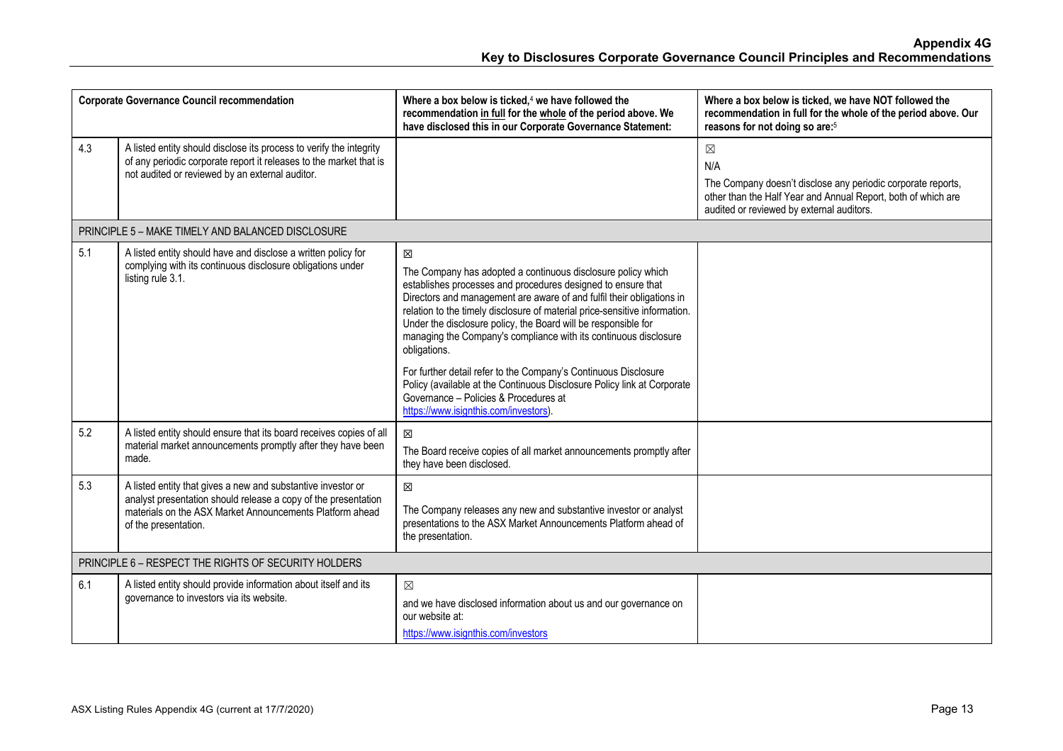| <b>Corporate Governance Council recommendation</b>   |                                                                                                                                                                                                                    | Where a box below is ticked, <sup>4</sup> we have followed the<br>recommendation in full for the whole of the period above. We<br>have disclosed this in our Corporate Governance Statement:                                                                                                                                                                                                                                                                                                                                                                                                                                                                                             | Where a box below is ticked, we have NOT followed the<br>recommendation in full for the whole of the period above. Our<br>reasons for not doing so are: <sup>5</sup>                             |
|------------------------------------------------------|--------------------------------------------------------------------------------------------------------------------------------------------------------------------------------------------------------------------|------------------------------------------------------------------------------------------------------------------------------------------------------------------------------------------------------------------------------------------------------------------------------------------------------------------------------------------------------------------------------------------------------------------------------------------------------------------------------------------------------------------------------------------------------------------------------------------------------------------------------------------------------------------------------------------|--------------------------------------------------------------------------------------------------------------------------------------------------------------------------------------------------|
| 4.3                                                  | A listed entity should disclose its process to verify the integrity<br>of any periodic corporate report it releases to the market that is<br>not audited or reviewed by an external auditor.                       |                                                                                                                                                                                                                                                                                                                                                                                                                                                                                                                                                                                                                                                                                          | $\boxtimes$<br>N/A<br>The Company doesn't disclose any periodic corporate reports,<br>other than the Half Year and Annual Report, both of which are<br>audited or reviewed by external auditors. |
|                                                      | PRINCIPLE 5 - MAKE TIMELY AND BALANCED DISCLOSURE                                                                                                                                                                  |                                                                                                                                                                                                                                                                                                                                                                                                                                                                                                                                                                                                                                                                                          |                                                                                                                                                                                                  |
| 5.1                                                  | A listed entity should have and disclose a written policy for<br>complying with its continuous disclosure obligations under<br>listing rule 3.1.                                                                   | $\boxtimes$<br>The Company has adopted a continuous disclosure policy which<br>establishes processes and procedures designed to ensure that<br>Directors and management are aware of and fulfil their obligations in<br>relation to the timely disclosure of material price-sensitive information.<br>Under the disclosure policy, the Board will be responsible for<br>managing the Company's compliance with its continuous disclosure<br>obligations.<br>For further detail refer to the Company's Continuous Disclosure<br>Policy (available at the Continuous Disclosure Policy link at Corporate<br>Governance - Policies & Procedures at<br>https://www.isignthis.com/investors). |                                                                                                                                                                                                  |
| 5.2                                                  | A listed entity should ensure that its board receives copies of all<br>material market announcements promptly after they have been<br>made.                                                                        | 冈<br>The Board receive copies of all market announcements promptly after<br>they have been disclosed.                                                                                                                                                                                                                                                                                                                                                                                                                                                                                                                                                                                    |                                                                                                                                                                                                  |
| 5.3                                                  | A listed entity that gives a new and substantive investor or<br>analyst presentation should release a copy of the presentation<br>materials on the ASX Market Announcements Platform ahead<br>of the presentation. | 冈<br>The Company releases any new and substantive investor or analyst<br>presentations to the ASX Market Announcements Platform ahead of<br>the presentation.                                                                                                                                                                                                                                                                                                                                                                                                                                                                                                                            |                                                                                                                                                                                                  |
| PRINCIPLE 6 - RESPECT THE RIGHTS OF SECURITY HOLDERS |                                                                                                                                                                                                                    |                                                                                                                                                                                                                                                                                                                                                                                                                                                                                                                                                                                                                                                                                          |                                                                                                                                                                                                  |
| 6.1                                                  | A listed entity should provide information about itself and its<br>governance to investors via its website.                                                                                                        | $\boxtimes$<br>and we have disclosed information about us and our governance on<br>our website at:<br>https://www.isignthis.com/investors                                                                                                                                                                                                                                                                                                                                                                                                                                                                                                                                                |                                                                                                                                                                                                  |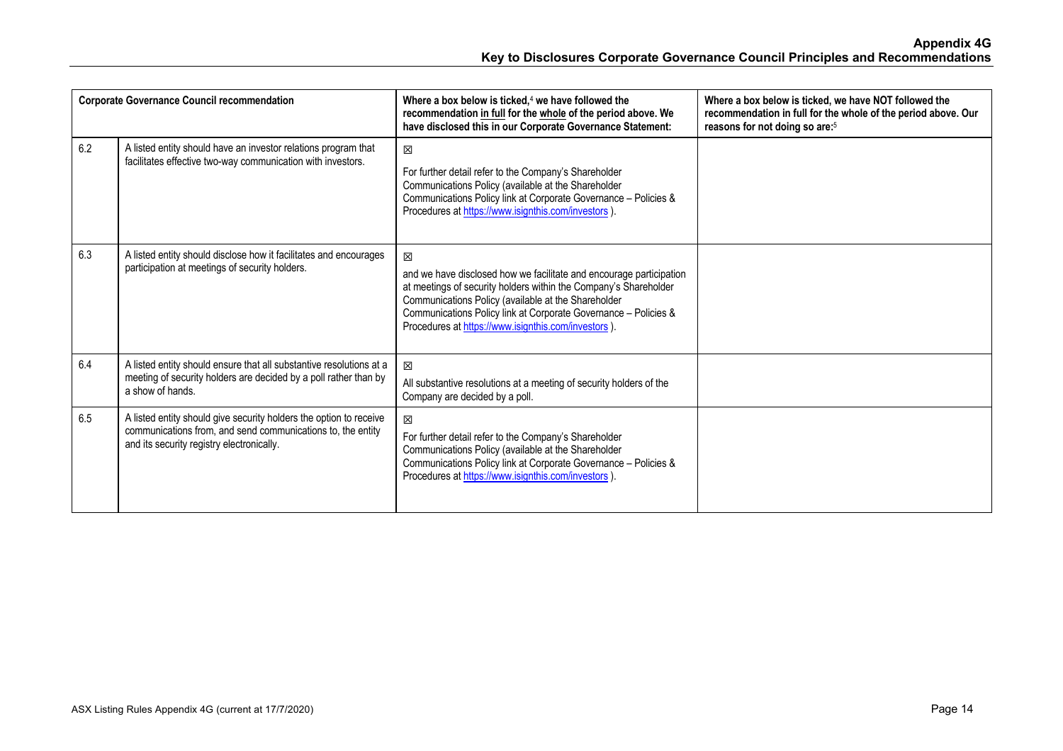| <b>Corporate Governance Council recommendation</b> |                                                                                                                                                                                | Where a box below is ticked. <sup>4</sup> we have followed the<br>recommendation in full for the whole of the period above. We<br>have disclosed this in our Corporate Governance Statement:                                                                                                                                 | Where a box below is ticked, we have NOT followed the<br>recommendation in full for the whole of the period above. Our<br>reasons for not doing so are: <sup>5</sup> |
|----------------------------------------------------|--------------------------------------------------------------------------------------------------------------------------------------------------------------------------------|------------------------------------------------------------------------------------------------------------------------------------------------------------------------------------------------------------------------------------------------------------------------------------------------------------------------------|----------------------------------------------------------------------------------------------------------------------------------------------------------------------|
| 6.2                                                | A listed entity should have an investor relations program that<br>facilitates effective two-way communication with investors.                                                  | $\boxtimes$<br>For further detail refer to the Company's Shareholder<br>Communications Policy (available at the Shareholder<br>Communications Policy link at Corporate Governance - Policies &<br>Procedures at https://www.isignthis.com/investors)                                                                         |                                                                                                                                                                      |
| 6.3                                                | A listed entity should disclose how it facilitates and encourages<br>participation at meetings of security holders.                                                            | 冈<br>and we have disclosed how we facilitate and encourage participation<br>at meetings of security holders within the Company's Shareholder<br>Communications Policy (available at the Shareholder<br>Communications Policy link at Corporate Governance - Policies &<br>Procedures at https://www.isignthis.com/investors) |                                                                                                                                                                      |
| 6.4                                                | A listed entity should ensure that all substantive resolutions at a<br>meeting of security holders are decided by a poll rather than by<br>a show of hands.                    | 冈<br>All substantive resolutions at a meeting of security holders of the<br>Company are decided by a poll.                                                                                                                                                                                                                   |                                                                                                                                                                      |
| 6.5                                                | A listed entity should give security holders the option to receive<br>communications from, and send communications to, the entity<br>and its security registry electronically. | 冈<br>For further detail refer to the Company's Shareholder<br>Communications Policy (available at the Shareholder<br>Communications Policy link at Corporate Governance - Policies &<br>Procedures at https://www.isignthis.com/investors)                                                                                   |                                                                                                                                                                      |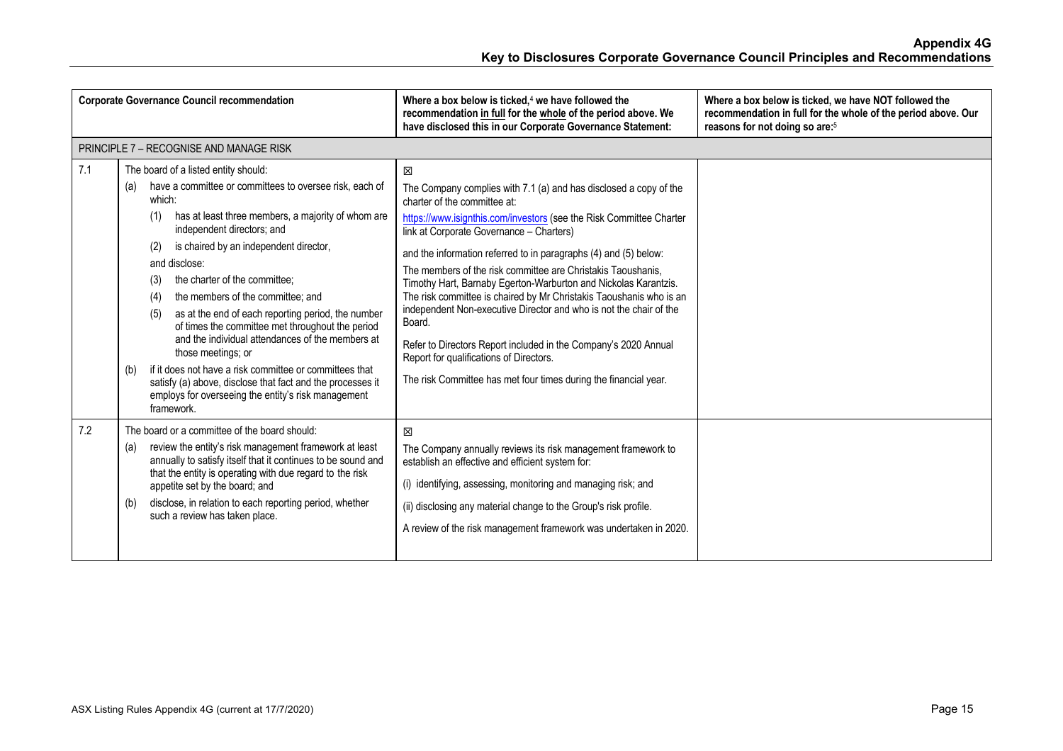| <b>Corporate Governance Council recommendation</b> |                                                                                                                                                                                                                                                                                                                                                                                                                                                                                                                                                                                                                                                                                                                                                                   | Where a box below is ticked, $4$ we have followed the<br>recommendation in full for the whole of the period above. We<br>have disclosed this in our Corporate Governance Statement:                                                                                                                                                                                                                                                                                                                                                                                                                                                                                                                                                                                       | Where a box below is ticked, we have NOT followed the<br>recommendation in full for the whole of the period above. Our<br>reasons for not doing so are: <sup>5</sup> |
|----------------------------------------------------|-------------------------------------------------------------------------------------------------------------------------------------------------------------------------------------------------------------------------------------------------------------------------------------------------------------------------------------------------------------------------------------------------------------------------------------------------------------------------------------------------------------------------------------------------------------------------------------------------------------------------------------------------------------------------------------------------------------------------------------------------------------------|---------------------------------------------------------------------------------------------------------------------------------------------------------------------------------------------------------------------------------------------------------------------------------------------------------------------------------------------------------------------------------------------------------------------------------------------------------------------------------------------------------------------------------------------------------------------------------------------------------------------------------------------------------------------------------------------------------------------------------------------------------------------------|----------------------------------------------------------------------------------------------------------------------------------------------------------------------|
|                                                    | <b>PRINCIPLE 7 - RECOGNISE AND MANAGE RISK</b>                                                                                                                                                                                                                                                                                                                                                                                                                                                                                                                                                                                                                                                                                                                    |                                                                                                                                                                                                                                                                                                                                                                                                                                                                                                                                                                                                                                                                                                                                                                           |                                                                                                                                                                      |
| 7.1                                                | The board of a listed entity should:<br>have a committee or committees to oversee risk, each of<br>(a)<br>which:<br>has at least three members, a majority of whom are<br>(1)<br>independent directors; and<br>is chaired by an independent director,<br>(2)<br>and disclose:<br>the charter of the committee:<br>(3)<br>the members of the committee; and<br>(4)<br>as at the end of each reporting period, the number<br>(5)<br>of times the committee met throughout the period<br>and the individual attendances of the members at<br>those meetings; or<br>if it does not have a risk committee or committees that<br>(b)<br>satisfy (a) above, disclose that fact and the processes it<br>employs for overseeing the entity's risk management<br>framework. | 区<br>The Company complies with 7.1 (a) and has disclosed a copy of the<br>charter of the committee at:<br>https://www.isignthis.com/investors (see the Risk Committee Charter<br>link at Corporate Governance - Charters)<br>and the information referred to in paragraphs (4) and (5) below:<br>The members of the risk committee are Christakis Taoushanis,<br>Timothy Hart, Barnaby Egerton-Warburton and Nickolas Karantzis.<br>The risk committee is chaired by Mr Christakis Taoushanis who is an<br>independent Non-executive Director and who is not the chair of the<br>Board.<br>Refer to Directors Report included in the Company's 2020 Annual<br>Report for qualifications of Directors.<br>The risk Committee has met four times during the financial year. |                                                                                                                                                                      |
| 7.2                                                | The board or a committee of the board should:<br>review the entity's risk management framework at least<br>(a)<br>annually to satisfy itself that it continues to be sound and<br>that the entity is operating with due regard to the risk<br>appetite set by the board; and<br>disclose, in relation to each reporting period, whether<br>(b)<br>such a review has taken place.                                                                                                                                                                                                                                                                                                                                                                                  | 冈<br>The Company annually reviews its risk management framework to<br>establish an effective and efficient system for:<br>(i) identifying, assessing, monitoring and managing risk; and<br>(ii) disclosing any material change to the Group's risk profile.<br>A review of the risk management framework was undertaken in 2020.                                                                                                                                                                                                                                                                                                                                                                                                                                          |                                                                                                                                                                      |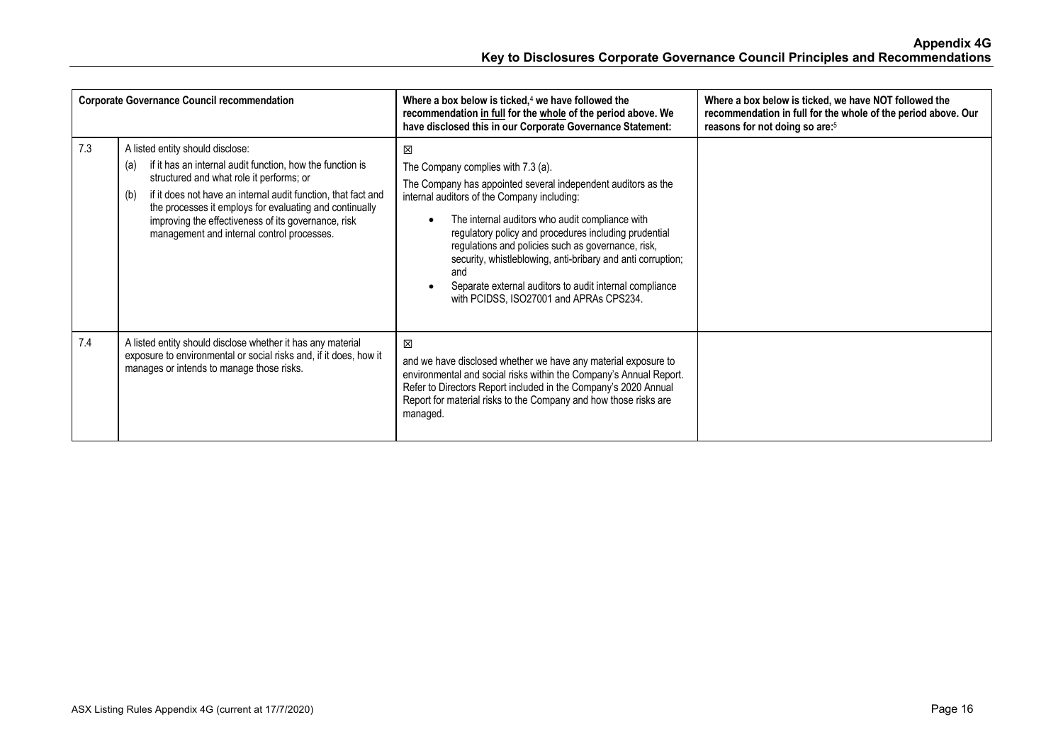| <b>Corporate Governance Council recommendation</b> |                                                                                                                                                                                                                                                                                                                                                                                          | Where a box below is ticked, <sup>4</sup> we have followed the<br>recommendation in full for the whole of the period above. We<br>have disclosed this in our Corporate Governance Statement:                                                                                                                                                                                                                                                                                                          | Where a box below is ticked, we have NOT followed the<br>recommendation in full for the whole of the period above. Our<br>reasons for not doing so are: <sup>5</sup> |
|----------------------------------------------------|------------------------------------------------------------------------------------------------------------------------------------------------------------------------------------------------------------------------------------------------------------------------------------------------------------------------------------------------------------------------------------------|-------------------------------------------------------------------------------------------------------------------------------------------------------------------------------------------------------------------------------------------------------------------------------------------------------------------------------------------------------------------------------------------------------------------------------------------------------------------------------------------------------|----------------------------------------------------------------------------------------------------------------------------------------------------------------------|
| 7.3                                                | A listed entity should disclose:<br>if it has an internal audit function, how the function is<br>(a)<br>structured and what role it performs; or<br>if it does not have an internal audit function, that fact and<br>(b)<br>the processes it employs for evaluating and continually<br>improving the effectiveness of its governance, risk<br>management and internal control processes. | X<br>The Company complies with 7.3 (a).<br>The Company has appointed several independent auditors as the<br>internal auditors of the Company including:<br>The internal auditors who audit compliance with<br>regulatory policy and procedures including prudential<br>regulations and policies such as governance, risk,<br>security, whistleblowing, anti-bribary and anti corruption;<br>and<br>Separate external auditors to audit internal compliance<br>with PCIDSS, ISO27001 and APRAs CPS234. |                                                                                                                                                                      |
| 7.4                                                | A listed entity should disclose whether it has any material<br>exposure to environmental or social risks and, if it does, how it<br>manages or intends to manage those risks.                                                                                                                                                                                                            | 冈<br>and we have disclosed whether we have any material exposure to<br>environmental and social risks within the Company's Annual Report.<br>Refer to Directors Report included in the Company's 2020 Annual<br>Report for material risks to the Company and how those risks are<br>managed.                                                                                                                                                                                                          |                                                                                                                                                                      |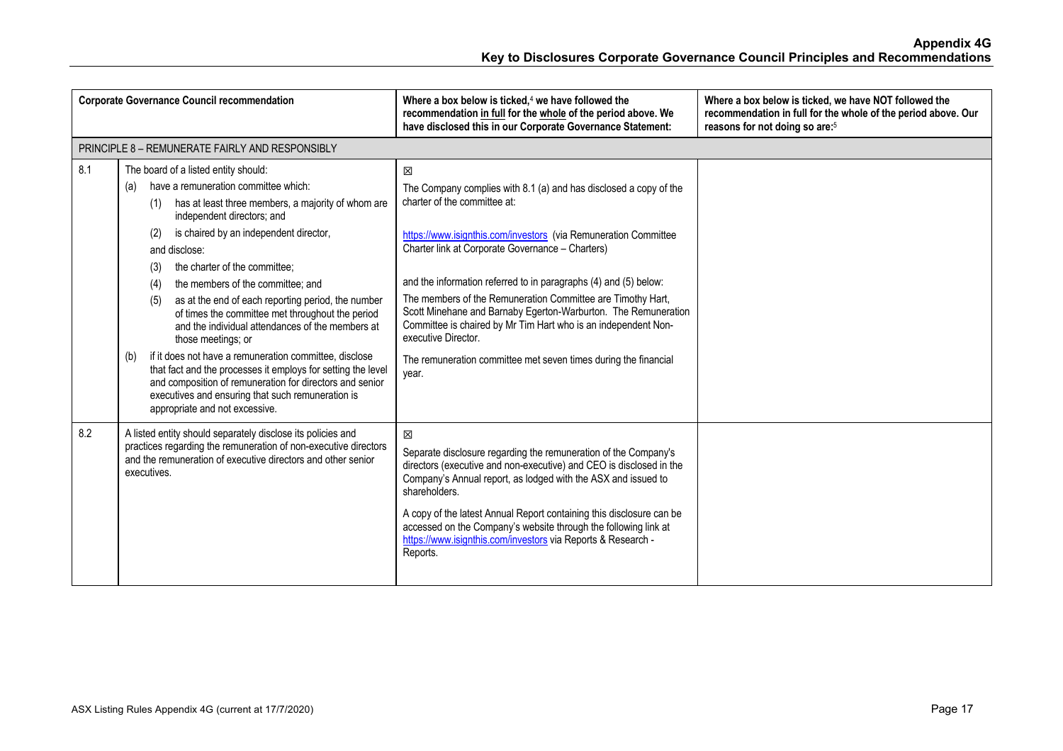| <b>Corporate Governance Council recommendation</b> |                                                                                                                                                                                                                                                                                                                                                                                                                                                                                                                                                                                                                                                                                                                                                                                                                     | Where a box below is ticked, $4$ we have followed the<br>recommendation in full for the whole of the period above. We<br>have disclosed this in our Corporate Governance Statement:                                                                                                                                                                                                                                                                                                                                                                                                                     | Where a box below is ticked, we have NOT followed the<br>recommendation in full for the whole of the period above. Our<br>reasons for not doing so are: <sup>5</sup> |
|----------------------------------------------------|---------------------------------------------------------------------------------------------------------------------------------------------------------------------------------------------------------------------------------------------------------------------------------------------------------------------------------------------------------------------------------------------------------------------------------------------------------------------------------------------------------------------------------------------------------------------------------------------------------------------------------------------------------------------------------------------------------------------------------------------------------------------------------------------------------------------|---------------------------------------------------------------------------------------------------------------------------------------------------------------------------------------------------------------------------------------------------------------------------------------------------------------------------------------------------------------------------------------------------------------------------------------------------------------------------------------------------------------------------------------------------------------------------------------------------------|----------------------------------------------------------------------------------------------------------------------------------------------------------------------|
|                                                    | PRINCIPLE 8 - REMUNERATE FAIRLY AND RESPONSIBLY                                                                                                                                                                                                                                                                                                                                                                                                                                                                                                                                                                                                                                                                                                                                                                     |                                                                                                                                                                                                                                                                                                                                                                                                                                                                                                                                                                                                         |                                                                                                                                                                      |
| 8.1                                                | The board of a listed entity should:<br>have a remuneration committee which:<br>(a)<br>has at least three members, a majority of whom are<br>(1)<br>independent directors; and<br>is chaired by an independent director,<br>(2)<br>and disclose:<br>the charter of the committee:<br>(3)<br>the members of the committee; and<br>(4)<br>as at the end of each reporting period, the number<br>(5)<br>of times the committee met throughout the period<br>and the individual attendances of the members at<br>those meetings; or<br>if it does not have a remuneration committee, disclose<br>(b)<br>that fact and the processes it employs for setting the level<br>and composition of remuneration for directors and senior<br>executives and ensuring that such remuneration is<br>appropriate and not excessive. | 区<br>The Company complies with 8.1 (a) and has disclosed a copy of the<br>charter of the committee at:<br>https://www.isignthis.com/investors (via Remuneration Committee<br>Charter link at Corporate Governance - Charters)<br>and the information referred to in paragraphs (4) and (5) below:<br>The members of the Remuneration Committee are Timothy Hart,<br>Scott Minehane and Barnaby Egerton-Warburton. The Remuneration<br>Committee is chaired by Mr Tim Hart who is an independent Non-<br>executive Director.<br>The remuneration committee met seven times during the financial<br>year. |                                                                                                                                                                      |
| 8.2                                                | A listed entity should separately disclose its policies and<br>practices regarding the remuneration of non-executive directors<br>and the remuneration of executive directors and other senior<br>executives.                                                                                                                                                                                                                                                                                                                                                                                                                                                                                                                                                                                                       | 冈<br>Separate disclosure regarding the remuneration of the Company's<br>directors (executive and non-executive) and CEO is disclosed in the<br>Company's Annual report, as lodged with the ASX and issued to<br>shareholders.<br>A copy of the latest Annual Report containing this disclosure can be<br>accessed on the Company's website through the following link at<br>https://www.isignthis.com/investors via Reports & Research -<br>Reports.                                                                                                                                                    |                                                                                                                                                                      |